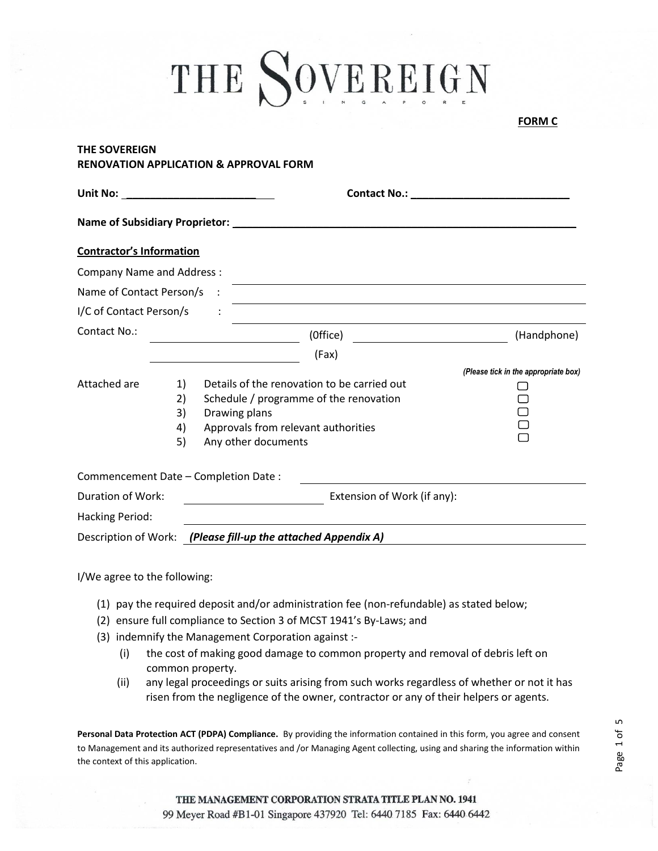| אי⊮ |  |  |
|-----|--|--|
|     |  |  |

## **THE SOVEREIGN RENOVATION APPLICATION & APPROVAL FORM**

| Name of Subsidiary Proprietor:       |    | <u> 1980 - Jan Berlin, margaret amerikan bestean di sebagai personal di sebagai personal di sebagai personal di s</u> |                                      |  |
|--------------------------------------|----|-----------------------------------------------------------------------------------------------------------------------|--------------------------------------|--|
| <b>Contractor's Information</b>      |    |                                                                                                                       |                                      |  |
| <b>Company Name and Address:</b>     |    |                                                                                                                       |                                      |  |
| Name of Contact Person/s             |    |                                                                                                                       |                                      |  |
| I/C of Contact Person/s              |    | <u> 1989 - Johann Barbara, martxa alemaniar amerikan a</u>                                                            |                                      |  |
| Contact No.:                         |    | (Office)                                                                                                              | (Handphone)                          |  |
|                                      |    | (Fax)                                                                                                                 |                                      |  |
|                                      |    |                                                                                                                       | (Please tick in the appropriate box) |  |
| Attached are                         | 1) | Details of the renovation to be carried out                                                                           |                                      |  |
|                                      | 2) | Schedule / programme of the renovation                                                                                |                                      |  |
|                                      | 3) | Drawing plans                                                                                                         |                                      |  |
|                                      | 4) | Approvals from relevant authorities                                                                                   |                                      |  |
|                                      | 5) | Any other documents                                                                                                   |                                      |  |
| Commencement Date - Completion Date: |    |                                                                                                                       |                                      |  |
| Duration of Work:                    |    | Extension of Work (if any):                                                                                           |                                      |  |
| <b>Hacking Period:</b>               |    |                                                                                                                       |                                      |  |
|                                      |    | Description of Work: (Please fill-up the attached Appendix A)                                                         |                                      |  |

I/We agree to the following:

- (1) pay the required deposit and/or administration fee (non-refundable) as stated below;
- (2) ensure full compliance to Section 3 of MCST 1941's By-Laws; and
- (3) indemnify the Management Corporation against :-
	- (i) the cost of making good damage to common property and removal of debris left on common property.
	- (ii) any legal proceedings or suits arising from such works regardless of whether or not it has risen from the negligence of the owner, contractor or any of their helpers or agents.

**Personal Data Protection ACT (PDPA) Compliance.** By providing the information contained in this form, you agree and consent to Management and its authorized representatives and /or Managing Agent collecting, using and sharing the information within the context of this application.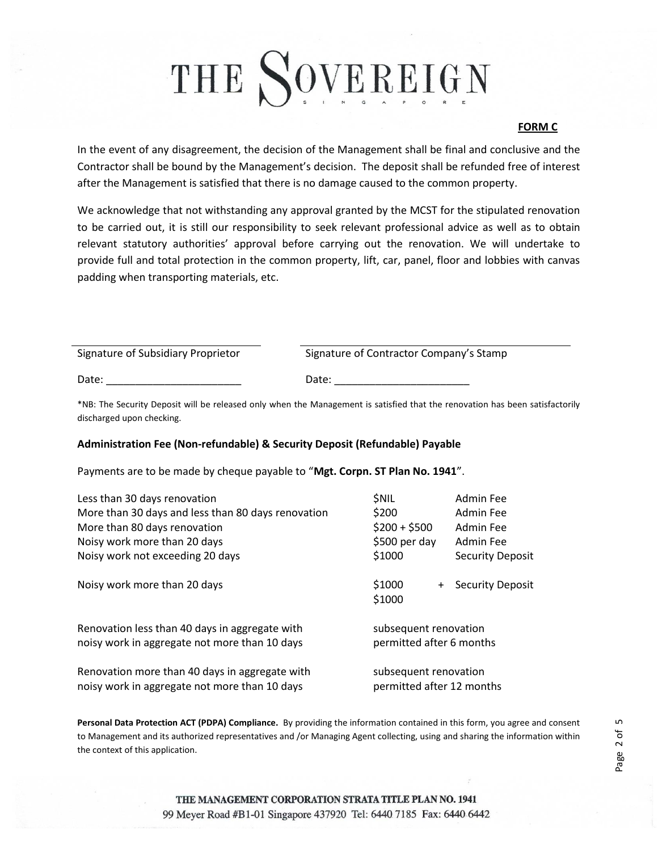### **FORM C**

In the event of any disagreement, the decision of the Management shall be final and conclusive and the Contractor shall be bound by the Management's decision. The deposit shall be refunded free of interest after the Management is satisfied that there is no damage caused to the common property.

We acknowledge that not withstanding any approval granted by the MCST for the stipulated renovation to be carried out, it is still our responsibility to seek relevant professional advice as well as to obtain relevant statutory authorities' approval before carrying out the renovation. We will undertake to provide full and total protection in the common property, lift, car, panel, floor and lobbies with canvas padding when transporting materials, etc.

| Signature of Subsidiary Proprietor | Signature of Contractor Company's Stamp |
|------------------------------------|-----------------------------------------|
| Date:                              | Date:                                   |

\*NB: The Security Deposit will be released only when the Management is satisfied that the renovation has been satisfactorily discharged upon checking.

### **Administration Fee (Non-refundable) & Security Deposit (Refundable) Payable**

Payments are to be made by cheque payable to "**Mgt. Corpn. ST Plan No. 1941**".

| Less than 30 days renovation<br>More than 30 days and less than 80 days renovation<br>More than 80 days renovation<br>Noisy work more than 20 days | <b><i>SNIL</i></b><br>\$200<br>$$200 + $500$<br>\$500 per day | Admin Fee<br>Admin Fee<br>Admin Fee<br>Admin Fee |
|----------------------------------------------------------------------------------------------------------------------------------------------------|---------------------------------------------------------------|--------------------------------------------------|
| Noisy work not exceeding 20 days                                                                                                                   | \$1000                                                        | <b>Security Deposit</b>                          |
| Noisy work more than 20 days                                                                                                                       | \$1000<br>\$1000                                              | + Security Deposit                               |
| Renovation less than 40 days in aggregate with<br>noisy work in aggregate not more than 10 days                                                    | subsequent renovation<br>permitted after 6 months             |                                                  |
| Renovation more than 40 days in aggregate with<br>noisy work in aggregate not more than 10 days                                                    | subsequent renovation<br>permitted after 12 months            |                                                  |

**Personal Data Protection ACT (PDPA) Compliance.** By providing the information contained in this form, you agree and consent to Management and its authorized representatives and /or Managing Agent collecting, using and sharing the information within the context of this application.

Page 2 of 5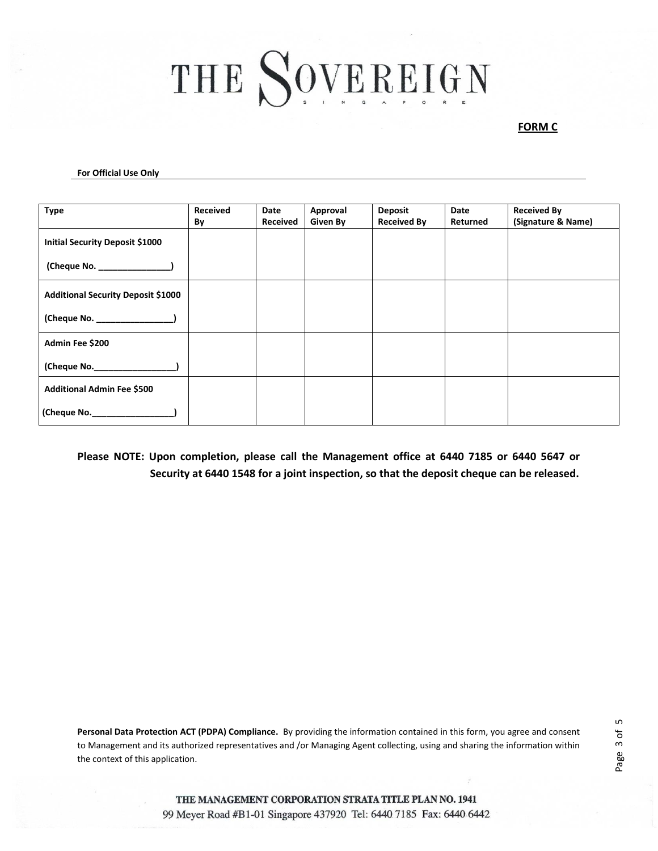#### **FORM C**

#### **For Official Use Only**

| <b>Type</b>                               | <b>Received</b><br>By | Date<br><b>Received</b> | Approval<br>Given By | <b>Deposit</b><br><b>Received By</b> | Date<br>Returned | <b>Received By</b><br>(Signature & Name) |
|-------------------------------------------|-----------------------|-------------------------|----------------------|--------------------------------------|------------------|------------------------------------------|
| Initial Security Deposit \$1000           |                       |                         |                      |                                      |                  |                                          |
| (Cheque No. _______________)              |                       |                         |                      |                                      |                  |                                          |
| <b>Additional Security Deposit \$1000</b> |                       |                         |                      |                                      |                  |                                          |
|                                           |                       |                         |                      |                                      |                  |                                          |
| Admin Fee \$200                           |                       |                         |                      |                                      |                  |                                          |
| (Cheque No.___________________)           |                       |                         |                      |                                      |                  |                                          |
| Additional Admin Fee \$500                |                       |                         |                      |                                      |                  |                                          |
|                                           |                       |                         |                      |                                      |                  |                                          |

## **Please NOTE: Upon completion, please call the Management office at 6440 7185 or 6440 5647 or Security at 6440 1548 for a joint inspection, so that the deposit cheque can be released.**

**Personal Data Protection ACT (PDPA) Compliance.** By providing the information contained in this form, you agree and consent to Management and its authorized representatives and /or Managing Agent collecting, using and sharing the information within the context of this application.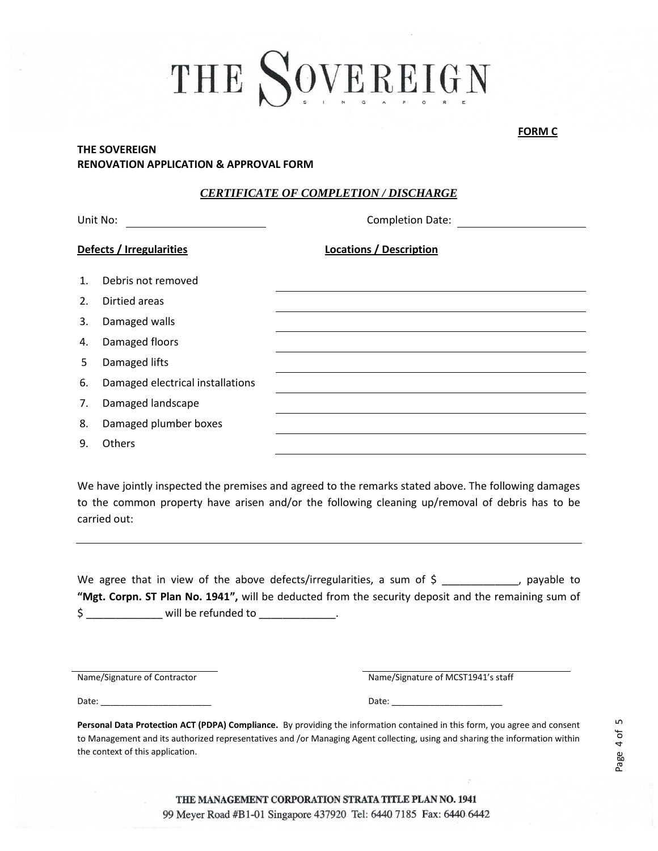## **THE SOVEREIGN RENOVATION APPLICATION & APPROVAL FORM**

### *CERTIFICATE OF COMPLETION / DISCHARGE*

| Unit No:                 |                                  | <b>Completion Date:</b>        |  |  |
|--------------------------|----------------------------------|--------------------------------|--|--|
| Defects / Irregularities |                                  | <b>Locations / Description</b> |  |  |
| $\mathbf{1}$ .           | Debris not removed               |                                |  |  |
| 2.                       | Dirtied areas                    |                                |  |  |
| 3.                       | Damaged walls                    |                                |  |  |
| 4.                       | Damaged floors                   |                                |  |  |
| 5                        | Damaged lifts                    |                                |  |  |
| 6.                       | Damaged electrical installations |                                |  |  |
| 7.                       | Damaged landscape                |                                |  |  |
| 8.                       | Damaged plumber boxes            |                                |  |  |
| 9.                       | <b>Others</b>                    |                                |  |  |

We have jointly inspected the premises and agreed to the remarks stated above. The following damages to the common property have arisen and/or the following cleaning up/removal of debris has to be carried out:

We agree that in view of the above defects/irregularities, a sum of  $\zeta$  and  $\zeta$ , payable to **"Mgt. Corpn. ST Plan No. 1941",** will be deducted from the security deposit and the remaining sum of \$ \_\_\_\_\_\_\_\_\_\_\_\_\_\_\_\_\_ will be refunded to \_\_\_\_\_\_\_\_\_\_\_\_\_\_

Name/Signature of Contractor

Name/Signature of MCST1941's staff

Date:

Date: \_\_\_\_\_\_\_\_\_\_\_\_\_\_\_\_\_\_\_\_\_\_\_

**Personal Data Protection ACT (PDPA) Compliance.** By providing the information contained in this form, you agree and consent to Management and its authorized representatives and /or Managing Agent collecting, using and sharing the information within the context of this application.

**FORM C FORM C**